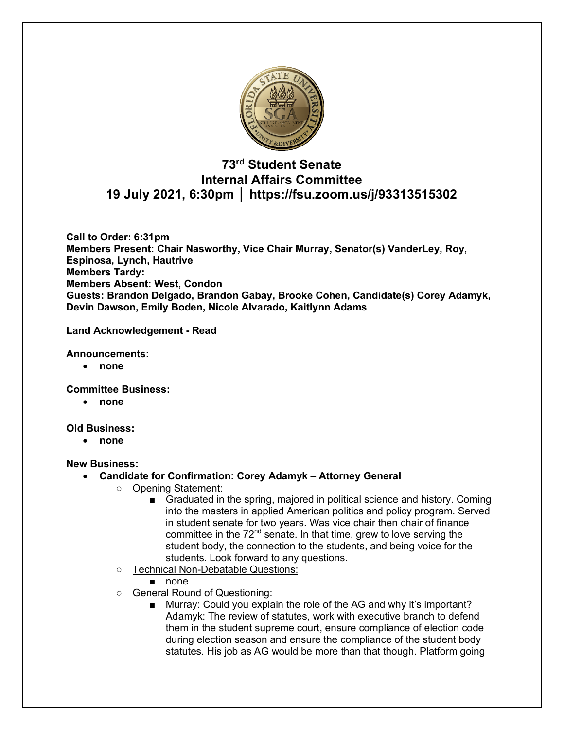

# **73rd Student Senate Internal Affairs Committee 19 July 2021, 6:30pm │ https://fsu.zoom.us/j/93313515302**

**Call to Order: 6:31pm Members Present: Chair Nasworthy, Vice Chair Murray, Senator(s) VanderLey, Roy, Espinosa, Lynch, Hautrive Members Tardy: Members Absent: West, Condon Guests: Brandon Delgado, Brandon Gabay, Brooke Cohen, Candidate(s) Corey Adamyk, Devin Dawson, Emily Boden, Nicole Alvarado, Kaitlynn Adams**

**Land Acknowledgement - Read**

#### **Announcements:**

• **none**

**Committee Business:** 

• **none**

## **Old Business:**

• **none**

## **New Business:**

- **Candidate for Confirmation: Corey Adamyk – Attorney General**
	- Opening Statement:
		- Graduated in the spring, majored in political science and history. Coming into the masters in applied American politics and policy program. Served in student senate for two years. Was vice chair then chair of finance committee in the  $72<sup>nd</sup>$  senate. In that time, grew to love serving the student body, the connection to the students, and being voice for the students. Look forward to any questions.
	- Technical Non-Debatable Questions:
		- none
	- General Round of Questioning:
		- Murray: Could you explain the role of the AG and why it's important? Adamyk: The review of statutes, work with executive branch to defend them in the student supreme court, ensure compliance of election code during election season and ensure the compliance of the student body statutes. His job as AG would be more than that though. Platform going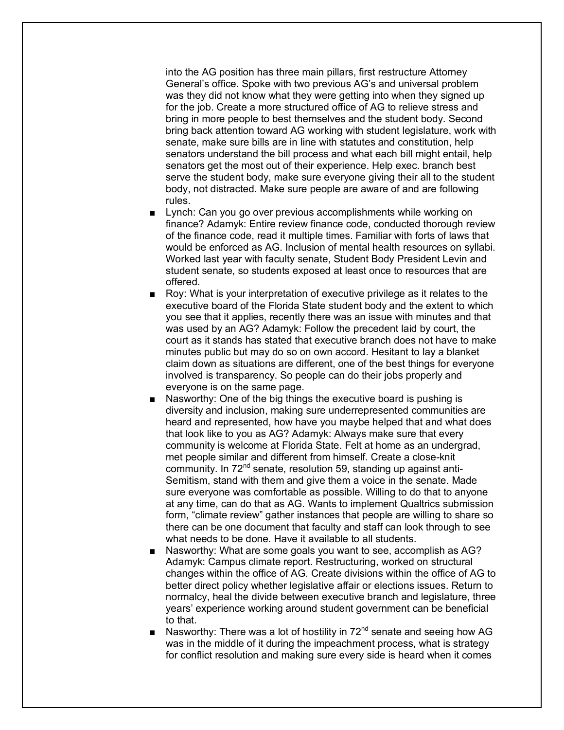into the AG position has three main pillars, first restructure Attorney General's office. Spoke with two previous AG's and universal problem was they did not know what they were getting into when they signed up for the job. Create a more structured office of AG to relieve stress and bring in more people to best themselves and the student body. Second bring back attention toward AG working with student legislature, work with senate, make sure bills are in line with statutes and constitution, help senators understand the bill process and what each bill might entail, help senators get the most out of their experience. Help exec. branch best serve the student body, make sure everyone giving their all to the student body, not distracted. Make sure people are aware of and are following rules.

- Lynch: Can you go over previous accomplishments while working on finance? Adamyk: Entire review finance code, conducted thorough review of the finance code, read it multiple times. Familiar with forts of laws that would be enforced as AG. Inclusion of mental health resources on syllabi. Worked last year with faculty senate, Student Body President Levin and student senate, so students exposed at least once to resources that are offered.
- Roy: What is your interpretation of executive privilege as it relates to the executive board of the Florida State student body and the extent to which you see that it applies, recently there was an issue with minutes and that was used by an AG? Adamyk: Follow the precedent laid by court, the court as it stands has stated that executive branch does not have to make minutes public but may do so on own accord. Hesitant to lay a blanket claim down as situations are different, one of the best things for everyone involved is transparency. So people can do their jobs properly and everyone is on the same page.
- Nasworthy: One of the big things the executive board is pushing is diversity and inclusion, making sure underrepresented communities are heard and represented, how have you maybe helped that and what does that look like to you as AG? Adamyk: Always make sure that every community is welcome at Florida State. Felt at home as an undergrad, met people similar and different from himself. Create a close-knit community. In 72<sup>nd</sup> senate, resolution 59, standing up against anti-Semitism, stand with them and give them a voice in the senate. Made sure everyone was comfortable as possible. Willing to do that to anyone at any time, can do that as AG. Wants to implement Qualtrics submission form, "climate review" gather instances that people are willing to share so there can be one document that faculty and staff can look through to see what needs to be done. Have it available to all students.
- Nasworthy: What are some goals you want to see, accomplish as AG? Adamyk: Campus climate report. Restructuring, worked on structural changes within the office of AG. Create divisions within the office of AG to better direct policy whether legislative affair or elections issues. Return to normalcy, heal the divide between executive branch and legislature, three years' experience working around student government can be beneficial to that.
- Nasworthy: There was a lot of hostility in  $72<sup>nd</sup>$  senate and seeing how AG was in the middle of it during the impeachment process, what is strategy for conflict resolution and making sure every side is heard when it comes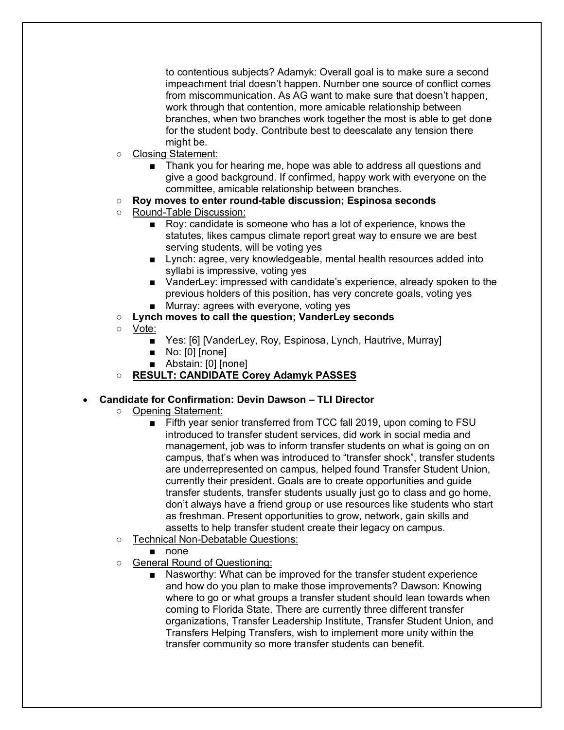to contentious subjects? Adamyk: Overall goal is to make sure a second impeachment trial doesn't happen. Number one source of conflict comes from miscommunication. As AG want to make sure that doesn't happen, work through that contention, more amicable relationship between branches, when two branches work together the most is able to get done for the student body. Contribute best to deescalate any tension there might be.

- Closing Statement:
	- Thank you for hearing me, hope was able to address all questions and give a good background. If confirmed, happy work with everyone on the committee, amicable relationship between branches.
- **Roy moves to enter round-table discussion; Espinosa seconds**
- Round-Table Discussion:
	- Roy: candidate is someone who has a lot of experience, knows the statutes, likes campus climate report great way to ensure we are best serving students, will be voting yes
	- Lynch: agree, very knowledgeable, mental health resources added into syllabi is impressive, voting yes
	- VanderLey: impressed with candidate's experience, already spoken to the previous holders of this position, has very concrete goals, voting yes ■ Murray: agrees with everyone, voting yes
- **Lynch moves to call the question; VanderLey seconds**
- Vote:
	- Yes: [6] [VanderLey, Roy, Espinosa, Lynch, Hautrive, Murray]
	- No: [0] [none]
	- Abstain: [0] [none]
- **RESULT: CANDIDATE Corey Adamyk PASSES**

#### • **Candidate for Confirmation: Devin Dawson – TLI Director**

- Opening Statement:
	- Fifth year senior transferred from TCC fall 2019, upon coming to FSU introduced to transfer student services, did work in social media and management, job was to inform transfer students on what is going on on campus, that's when was introduced to "transfer shock", transfer students are underrepresented on campus, helped found Transfer Student Union, currently their president. Goals are to create opportunities and guide transfer students, transfer students usually just go to class and go home, don't always have a friend group or use resources like students who start as freshman. Present opportunities to grow, network, gain skills and assetts to help transfer student create their legacy on campus.
- Technical Non-Debatable Questions:
	- none
- General Round of Questioning:
	- Nasworthy: What can be improved for the transfer student experience and how do you plan to make those improvements? Dawson: Knowing where to go or what groups a transfer student should lean towards when coming to Florida State. There are currently three different transfer organizations, Transfer Leadership Institute, Transfer Student Union, and Transfers Helping Transfers, wish to implement more unity within the transfer community so more transfer students can benefit.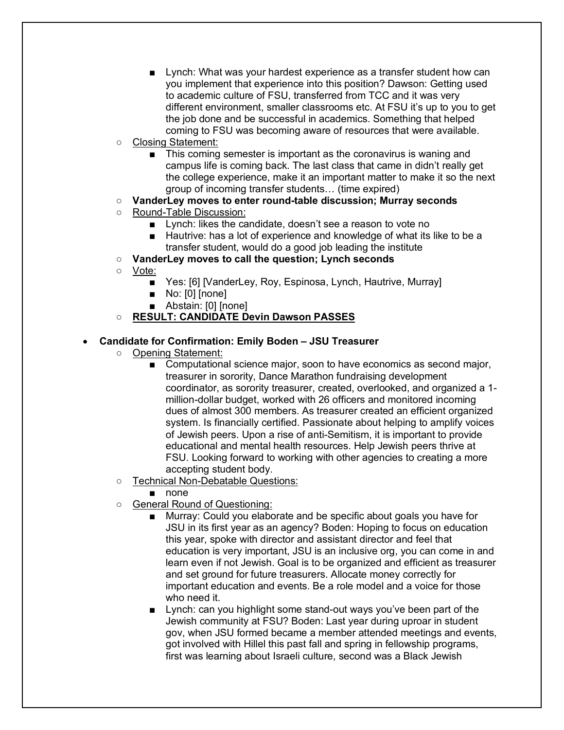- Lynch: What was your hardest experience as a transfer student how can you implement that experience into this position? Dawson: Getting used to academic culture of FSU, transferred from TCC and it was very different environment, smaller classrooms etc. At FSU it's up to you to get the job done and be successful in academics. Something that helped coming to FSU was becoming aware of resources that were available.
- Closing Statement:
	- This coming semester is important as the coronavirus is waning and campus life is coming back. The last class that came in didn't really get the college experience, make it an important matter to make it so the next group of incoming transfer students… (time expired)
- **VanderLey moves to enter round-table discussion; Murray seconds**
- Round-Table Discussion:
	- Lynch: likes the candidate, doesn't see a reason to vote no
	- Hautrive: has a lot of experience and knowledge of what its like to be a transfer student, would do a good job leading the institute
- **VanderLey moves to call the question; Lynch seconds**
- Vote:
	- Yes: [6] [VanderLey, Roy, Espinosa, Lynch, Hautrive, Murray]
	- No: [0] [none]
	- Abstain: [0] [none]

# ○ **RESULT: CANDIDATE Devin Dawson PASSES**

## • **Candidate for Confirmation: Emily Boden – JSU Treasurer**

- Opening Statement:
	- Computational science major, soon to have economics as second major, treasurer in sorority, Dance Marathon fundraising development coordinator, as sorority treasurer, created, overlooked, and organized a 1 million-dollar budget, worked with 26 officers and monitored incoming dues of almost 300 members. As treasurer created an efficient organized system. Is financially certified. Passionate about helping to amplify voices of Jewish peers. Upon a rise of anti-Semitism, it is important to provide educational and mental health resources. Help Jewish peers thrive at FSU. Looking forward to working with other agencies to creating a more accepting student body.
- Technical Non-Debatable Questions:
	- none
- General Round of Questioning:
	- Murray: Could you elaborate and be specific about goals you have for JSU in its first year as an agency? Boden: Hoping to focus on education this year, spoke with director and assistant director and feel that education is very important, JSU is an inclusive org, you can come in and learn even if not Jewish. Goal is to be organized and efficient as treasurer and set ground for future treasurers. Allocate money correctly for important education and events. Be a role model and a voice for those who need it.
	- Lynch: can you highlight some stand-out ways you've been part of the Jewish community at FSU? Boden: Last year during uproar in student gov, when JSU formed became a member attended meetings and events, got involved with Hillel this past fall and spring in fellowship programs, first was learning about Israeli culture, second was a Black Jewish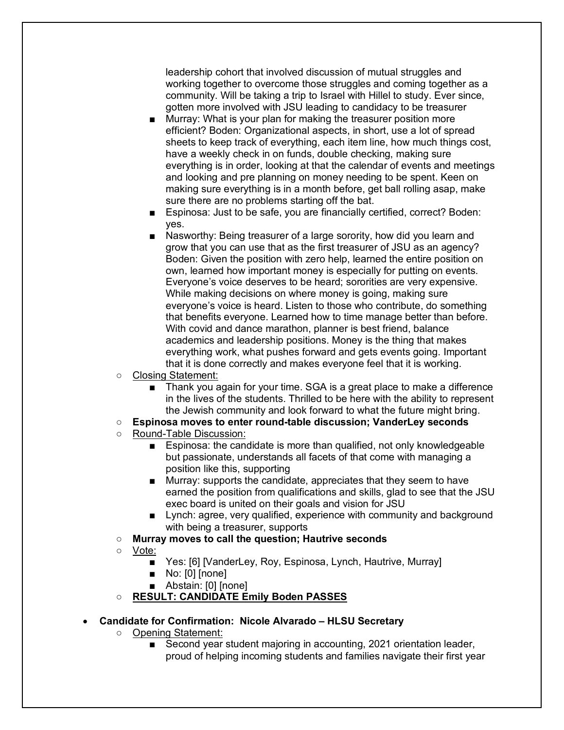leadership cohort that involved discussion of mutual struggles and working together to overcome those struggles and coming together as a community. Will be taking a trip to Israel with Hillel to study. Ever since, gotten more involved with JSU leading to candidacy to be treasurer

- Murray: What is your plan for making the treasurer position more efficient? Boden: Organizational aspects, in short, use a lot of spread sheets to keep track of everything, each item line, how much things cost, have a weekly check in on funds, double checking, making sure everything is in order, looking at that the calendar of events and meetings and looking and pre planning on money needing to be spent. Keen on making sure everything is in a month before, get ball rolling asap, make sure there are no problems starting off the bat.
- Espinosa: Just to be safe, you are financially certified, correct? Boden: yes.
- Nasworthy: Being treasurer of a large sorority, how did you learn and grow that you can use that as the first treasurer of JSU as an agency? Boden: Given the position with zero help, learned the entire position on own, learned how important money is especially for putting on events. Everyone's voice deserves to be heard; sororities are very expensive. While making decisions on where money is going, making sure everyone's voice is heard. Listen to those who contribute, do something that benefits everyone. Learned how to time manage better than before. With covid and dance marathon, planner is best friend, balance academics and leadership positions. Money is the thing that makes everything work, what pushes forward and gets events going. Important that it is done correctly and makes everyone feel that it is working.
- Closing Statement:
	- Thank you again for your time. SGA is a great place to make a difference in the lives of the students. Thrilled to be here with the ability to represent the Jewish community and look forward to what the future might bring.
- **Espinosa moves to enter round-table discussion; VanderLey seconds**
- Round-Table Discussion:
	- Espinosa: the candidate is more than qualified, not only knowledgeable but passionate, understands all facets of that come with managing a position like this, supporting
	- Murray: supports the candidate, appreciates that they seem to have earned the position from qualifications and skills, glad to see that the JSU exec board is united on their goals and vision for JSU
	- Lynch: agree, very qualified, experience with community and background with being a treasurer, supports
- **Murray moves to call the question; Hautrive seconds**
- Vote:
	- Yes: [6] [VanderLey, Roy, Espinosa, Lynch, Hautrive, Murray]
	- No: [0] [none]
	- Abstain: [0] [none]
- **RESULT: CANDIDATE Emily Boden PASSES**

## • **Candidate for Confirmation: Nicole Alvarado – HLSU Secretary**

- Opening Statement:
	- Second year student majoring in accounting, 2021 orientation leader, proud of helping incoming students and families navigate their first year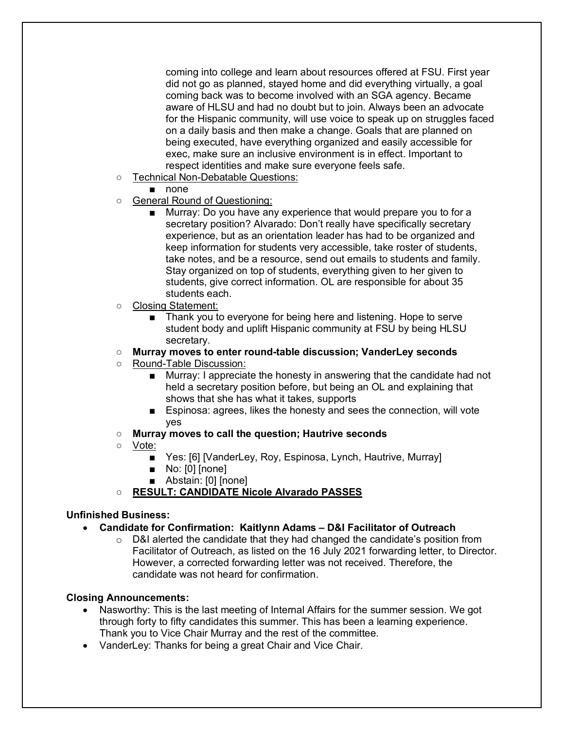coming into college and learn about resources offered at FSU. First year did not go as planned, stayed home and did everything virtually, a goal coming back was to become involved with an SGA agency. Became aware of HLSU and had no doubt but to join. Always been an advocate for the Hispanic community, will use voice to speak up on struggles faced on a daily basis and then make a change. Goals that are planned on being executed, have everything organized and easily accessible for exec, make sure an inclusive environment is in effect. Important to respect identities and make sure everyone feels safe.

- Technical Non-Debatable Questions:
	- none
- General Round of Questioning:
	- Murray: Do you have any experience that would prepare you to for a secretary position? Alvarado: Don't really have specifically secretary experience, but as an orientation leader has had to be organized and keep information for students very accessible, take roster of students, take notes, and be a resource, send out emails to students and family. Stay organized on top of students, everything given to her given to students, give correct information. OL are responsible for about 35 students each.
- Closing Statement:
	- Thank you to everyone for being here and listening. Hope to serve student body and uplift Hispanic community at FSU by being HLSU secretary.
- **Murray moves to enter round-table discussion; VanderLey seconds**
- Round-Table Discussion:
	- Murray: I appreciate the honesty in answering that the candidate had not held a secretary position before, but being an OL and explaining that shows that she has what it takes, supports
	- Espinosa: agrees, likes the honesty and sees the connection, will vote yes
- **Murray moves to call the question; Hautrive seconds**
- Vote:
	- Yes: [6] [VanderLey, Roy, Espinosa, Lynch, Hautrive, Murray]
	- No: [0] [none]
	- Abstain: [0] [none]
- **RESULT: CANDIDATE Nicole Alvarado PASSES**

## **Unfinished Business:**

- **Candidate for Confirmation: Kaitlynn Adams – D&I Facilitator of Outreach**
	- $\circ$  D&I alerted the candidate that they had changed the candidate's position from Facilitator of Outreach, as listed on the 16 July 2021 forwarding letter, to Director. However, a corrected forwarding letter was not received. Therefore, the candidate was not heard for confirmation.

## **Closing Announcements:**

- Nasworthy: This is the last meeting of Internal Affairs for the summer session. We got through forty to fifty candidates this summer. This has been a learning experience. Thank you to Vice Chair Murray and the rest of the committee.
- VanderLey: Thanks for being a great Chair and Vice Chair.